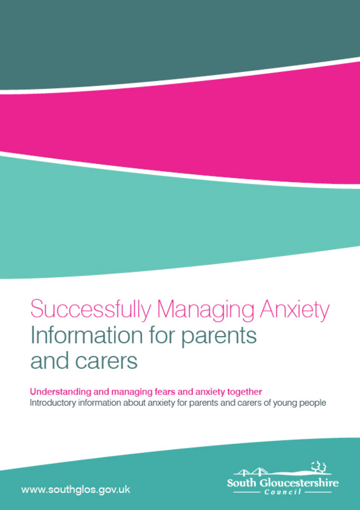# **Successfully Managing Anxiety** Information for parents and carers

Understanding and managing fears and anxiety together Introductory information about anxiety for parents and carers of young people



www.southglos.gov.uk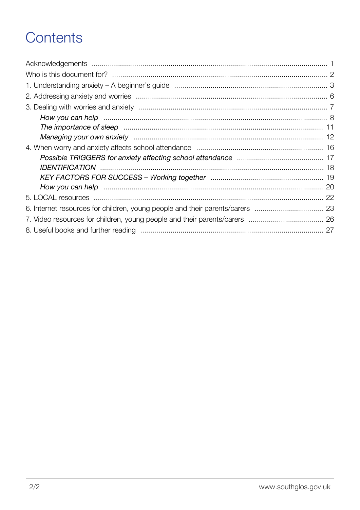# Contents

| How you can help manufactured and the control of the control of the control of the control of the control of t |  |
|----------------------------------------------------------------------------------------------------------------|--|
|                                                                                                                |  |
|                                                                                                                |  |
|                                                                                                                |  |
|                                                                                                                |  |
|                                                                                                                |  |
|                                                                                                                |  |
|                                                                                                                |  |
|                                                                                                                |  |
|                                                                                                                |  |
|                                                                                                                |  |
|                                                                                                                |  |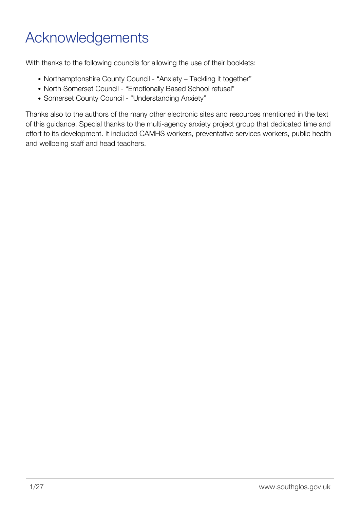# <span id="page-2-0"></span>Acknowledgements

With thanks to the following councils for allowing the use of their booklets:

- Northamptonshire County Council "Anxiety Tackling it together"
- North Somerset Council "Emotionally Based School refusal"
- Somerset County Council "Understanding Anxiety"

Thanks also to the authors of the many other electronic sites and resources mentioned in the text of this guidance. Special thanks to the multi-agency anxiety project group that dedicated time and effort to its development. It included CAMHS workers, preventative services workers, public health and wellbeing staff and head teachers.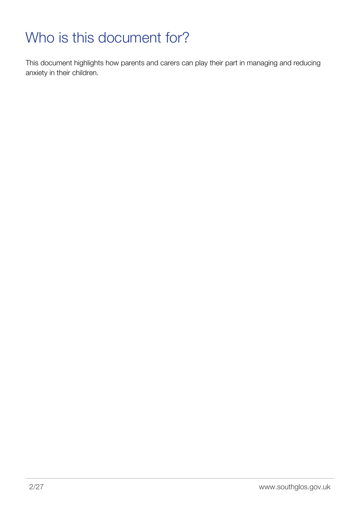# <span id="page-3-0"></span>Who is this document for?

This document highlights how parents and carers can play their part in managing and reducing anxiety in their children.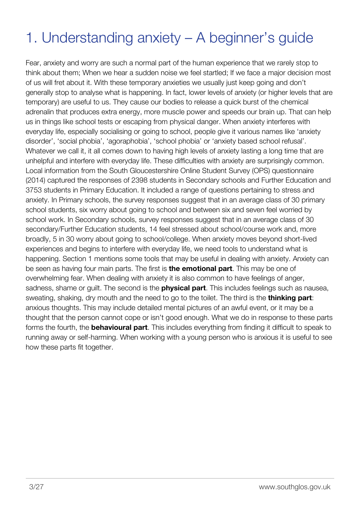# <span id="page-4-0"></span>1. Understanding anxiety – A beginner's guide

Fear, anxiety and worry are such a normal part of the human experience that we rarely stop to think about them; When we hear a sudden noise we feel startled; If we face a major decision most of us will fret about it. With these temporary anxieties we usually just keep going and don't generally stop to analyse what is happening. In fact, lower levels of anxiety (or higher levels that are temporary) are useful to us. They cause our bodies to release a quick burst of the chemical adrenalin that produces extra energy, more muscle power and speeds our brain up. That can help us in things like school tests or escaping from physical danger. When anxiety interferes with everyday life, especially socialising or going to school, people give it various names like 'anxiety disorder', 'social phobia', 'agoraphobia', 'school phobia' or 'anxiety based school refusal'. Whatever we call it, it all comes down to having high levels of anxiety lasting a long time that are unhelpful and interfere with everyday life. These difficulties with anxiety are surprisingly common. Local information from the South Gloucestershire Online Student Survey (OPS) questionnaire (2014) captured the responses of 2398 students in Secondary schools and Further Education and 3753 students in Primary Education. It included a range of questions pertaining to stress and anxiety. In Primary schools, the survey responses suggest that in an average class of 30 primary school students, six worry about going to school and between six and seven feel worried by school work. In Secondary schools, survey responses suggest that in an average class of 30 secondary/Further Education students, 14 feel stressed about school/course work and, more broadly, 5 in 30 worry about going to school/college. When anxiety moves beyond short-lived experiences and begins to interfere with everyday life, we need tools to understand what is happening. Section 1 mentions some tools that may be useful in dealing with anxiety. Anxiety can be seen as having four main parts. The first is **the emotional part**. This may be one of overwhelming fear. When dealing with anxiety it is also common to have feelings of anger, sadness, shame or guilt. The second is the **physical part**. This includes feelings such as nausea, sweating, shaking, dry mouth and the need to go to the toilet. The third is the **thinking part**: anxious thoughts. This may include detailed mental pictures of an awful event, or it may be a thought that the person cannot cope or isn't good enough. What we do in response to these parts forms the fourth, the **behavioural part**. This includes everything from finding it difficult to speak to running away or self-harming. When working with a young person who is anxious it is useful to see how these parts fit together.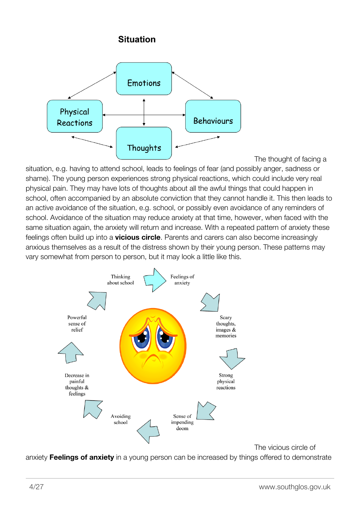#### **Situation**



The thought of facing a

situation, e.g. having to attend school, leads to feelings of fear (and possibly anger, sadness or shame). The young person experiences strong physical reactions, which could include very real physical pain. They may have lots of thoughts about all the awful things that could happen in school, often accompanied by an absolute conviction that they cannot handle it. This then leads to an active avoidance of the situation, e.g. school, or possibly even avoidance of any reminders of school. Avoidance of the situation may reduce anxiety at that time, however, when faced with the same situation again, the anxiety will return and increase. With a repeated pattern of anxiety these feelings often build up into a **vicious circle**. Parents and carers can also become increasingly anxious themselves as a result of the distress shown by their young person. These patterns may vary somewhat from person to person, but it may look a little like this.



The vicious circle of

anxiety **Feelings of anxiety** in a young person can be increased by things offered to demonstrate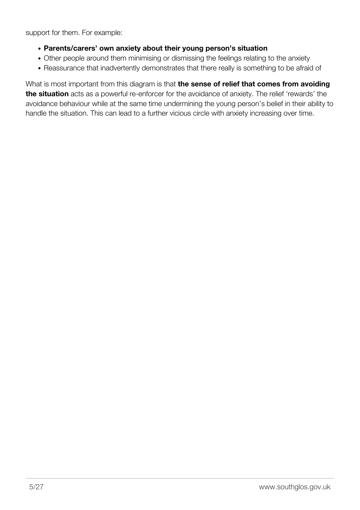support for them. For example:

- **Parents/carers' own anxiety about their young person's situation**
- Other people around them minimising or dismissing the feelings relating to the anxiety
- Reassurance that inadvertently demonstrates that there really is something to be afraid of

What is most important from this diagram is that **the sense of relief that comes from avoiding the situation** acts as a powerful re-enforcer for the avoidance of anxiety. The relief 'rewards' the avoidance behaviour while at the same time undermining the young person's belief in their ability to handle the situation. This can lead to a further vicious circle with anxiety increasing over time.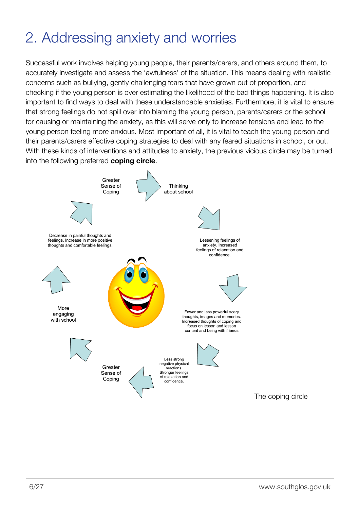# <span id="page-7-0"></span>2. Addressing anxiety and worries

Successful work involves helping young people, their parents/carers, and others around them, to accurately investigate and assess the 'awfulness' of the situation. This means dealing with realistic concerns such as bullying, gently challenging fears that have grown out of proportion, and checking if the young person is over estimating the likelihood of the bad things happening. It is also important to find ways to deal with these understandable anxieties. Furthermore, it is vital to ensure that strong feelings do not spill over into blaming the young person, parents/carers or the school for causing or maintaining the anxiety, as this will serve only to increase tensions and lead to the young person feeling more anxious. Most important of all, it is vital to teach the young person and their parents/carers effective coping strategies to deal with any feared situations in school, or out. With these kinds of interventions and attitudes to anxiety, the previous vicious circle may be turned into the following preferred **coping circle**.



The coping circle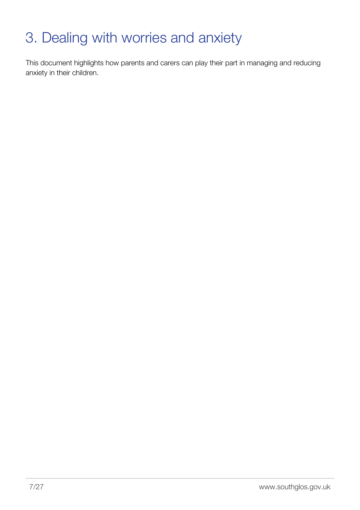# <span id="page-8-0"></span>3. Dealing with worries and anxiety

This document highlights how parents and carers can play their part in managing and reducing anxiety in their children.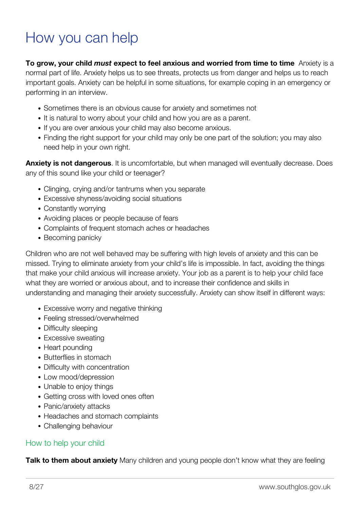### <span id="page-9-0"></span>How you can help

**To grow, your child** *must* **expect to feel anxious and worried from time to time** Anxiety is a normal part of life. Anxiety helps us to see threats, protects us from danger and helps us to reach important goals. Anxiety can be helpful in some situations, for example coping in an emergency or performing in an interview.

- Sometimes there is an obvious cause for anxiety and sometimes not
- It is natural to worry about your child and how you are as a parent.
- If you are over anxious your child may also become anxious.
- Finding the right support for your child may only be one part of the solution; you may also need help in your own right.

**Anxiety is not dangerous**. It is uncomfortable, but when managed will eventually decrease. Does any of this sound like your child or teenager?

- Clinging, crying and/or tantrums when you separate
- Excessive shyness/avoiding social situations
- Constantly worrying
- Avoiding places or people because of fears
- Complaints of frequent stomach aches or headaches
- Becoming panicky

Children who are not well behaved may be suffering with high levels of anxiety and this can be missed. Trying to eliminate anxiety from your child's life is impossible. In fact, avoiding the things that make your child anxious will increase anxiety. Your job as a parent is to help your child face what they are worried or anxious about, and to increase their confidence and skills in understanding and managing their anxiety successfully. Anxiety can show itself in different ways:

- Excessive worry and negative thinking
- Feeling stressed/overwhelmed
- Difficulty sleeping
- Excessive sweating
- Heart pounding
- Butterflies in stomach
- Difficulty with concentration
- Low mood/depression
- Unable to enjoy things
- Getting cross with loved ones often
- Panic/anxiety attacks
- Headaches and stomach complaints
- Challenging behaviour

#### How to help your child

**Talk to them about anxiety** Many children and young people don't know what they are feeling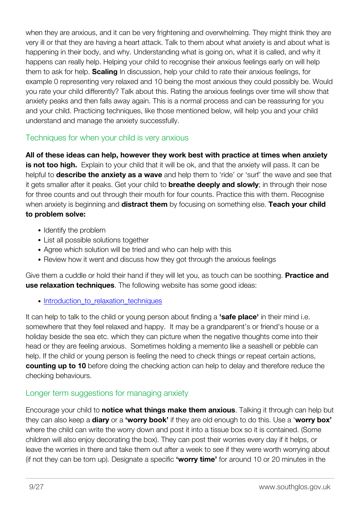when they are anxious, and it can be very frightening and overwhelming. They might think they are very ill or that they are having a heart attack. Talk to them about what anxiety is and about what is happening in their body, and why. Understanding what is going on, what it is called, and why it happens can really help. Helping your child to recognise their anxious feelings early on will help them to ask for help. **Scaling** In discussion, help your child to rate their anxious feelings, for example 0 representing very relaxed and 10 being the most anxious they could possibly be. Would you rate your child differently? Talk about this. Rating the anxious feelings over time will show that anxiety peaks and then falls away again. This is a normal process and can be reassuring for you and your child. Practicing techniques, like those mentioned below, will help you and your child understand and manage the anxiety successfully.

#### Techniques for when your child is very anxious

**All of these ideas can help, however they work best with practice at times when anxiety is not too high.** Explain to your child that it will be ok, and that the anxiety will pass. It can be helpful to **describe the anxiety as a wave** and help them to 'ride' or 'surf' the wave and see that it gets smaller after it peaks. Get your child to **breathe deeply and slowly**; in through their nose for three counts and out through their mouth for four counts. Practice this with them. Recognise when anxiety is beginning and **distract them** by focusing on something else. **Teach your child to problem solve:**

- Identify the problem
- List all possible solutions together
- Agree which solution will be tried and who can help with this
- Review how it went and discuss how they got through the anxious feelings

Give them a cuddle or hold their hand if they will let you, as touch can be soothing. **Practice and use relaxation techniques**. The following website has some good ideas:

• [Introduction\\_to\\_relaxation\\_techniques](http://www.handsonscotland.co.uk/topics/techniques/relaxation.htm#introduction_to_relaxation_techniques)

It can help to talk to the child or young person about finding a **'safe place'** in their mind i.e. somewhere that they feel relaxed and happy. It may be a grandparent's or friend's house or a holiday beside the sea etc. which they can picture when the negative thoughts come into their head or they are feeling anxious. Sometimes holding a memento like a seashell or pebble can help. If the child or young person is feeling the need to check things or repeat certain actions, **counting up to 10** before doing the checking action can help to delay and therefore reduce the checking behaviours.

#### Longer term suggestions for managing anxiety

Encourage your child to **notice what things make them anxious**. Talking it through can help but they can also keep a **diary** or a **'worry book'** if they are old enough to do this. Use a '**worry box'** where the child can write the worry down and post it into a tissue box so it is contained. (Some children will also enjoy decorating the box). They can post their worries every day if it helps, or leave the worries in there and take them out after a week to see if they were worth worrying about (if not they can be torn up). Designate a specific **'worry time'** for around 10 or 20 minutes in the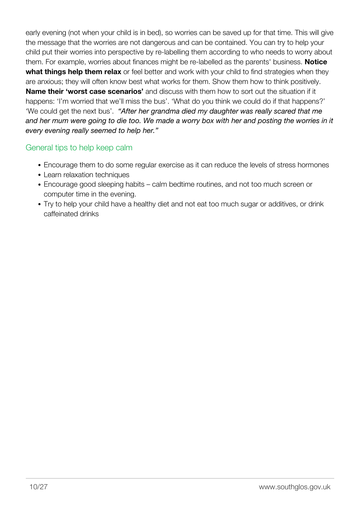early evening (not when your child is in bed), so worries can be saved up for that time. This will give the message that the worries are not dangerous and can be contained. You can try to help your child put their worries into perspective by re-labelling them according to who needs to worry about them. For example, worries about finances might be re-labelled as the parents' business. **Notice what things help them relax** or feel better and work with your child to find strategies when they are anxious; they will often know best what works for them. Show them how to think positively. **Name their 'worst case scenarios'** and discuss with them how to sort out the situation if it happens: 'I'm worried that we'll miss the bus'. 'What do you think we could do if that happens?' 'We could get the next bus'. *"After her grandma died my daughter was really scared that me and her mum were going to die too. We made a worry box with her and posting the worries in it every evening really seemed to help her."*

#### General tips to help keep calm

- Encourage them to do some regular exercise as it can reduce the levels of stress hormones
- Learn relaxation techniques
- Encourage good sleeping habits calm bedtime routines, and not too much screen or computer time in the evening.
- Try to help your child have a healthy diet and not eat too much sugar or additives, or drink caffeinated drinks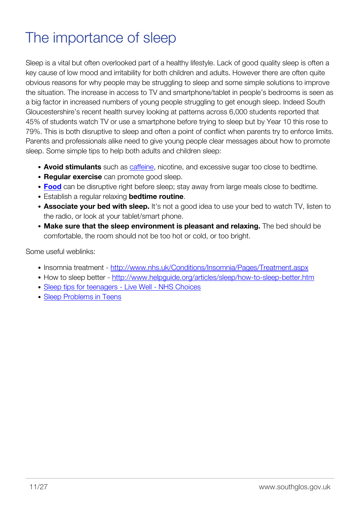# <span id="page-12-0"></span>The importance of sleep

Sleep is a vital but often overlooked part of a healthy lifestyle. Lack of good quality sleep is often a key cause of low mood and irritability for both children and adults. However there are often quite obvious reasons for why people may be struggling to sleep and some simple solutions to improve the situation. The increase in access to TV and smartphone/tablet in people's bedrooms is seen as a big factor in increased numbers of young people struggling to get enough sleep. Indeed South Gloucestershire's recent health survey looking at patterns across 6,000 students reported that 45% of students watch TV or use a smartphone before trying to sleep but by Year 10 this rose to 79%. This is both disruptive to sleep and often a point of conflict when parents try to enforce limits. Parents and professionals alike need to give young people clear messages about how to promote sleep. Some simple tips to help both adults and children sleep:

- **Avoid stimulants** such as [caffeine](http://sleepfoundation.org/sleep-topics/caffeine-and-sleep), nicotine, and excessive sugar too close to bedtime.
- **Regular exercise** can promote good sleep.
- **[Food](http://www.sleepfoundation.org/sleep-news/food-and-sleep)** can be disruptive right before sleep; stay away from large meals close to bedtime.
- Establish a regular relaxing **bedtime routine**.
- **Associate your bed with sleep.** It's not a good idea to use your bed to watch TV, listen to the radio, or look at your tablet/smart phone.
- **Make sure that the sleep environment is pleasant and relaxing.** The bed should be comfortable, the room should not be too hot or cold, or too bright.

Some useful weblinks:

- Insomnia treatment <http://www.nhs.uk/Conditions/Insomnia/Pages/Treatment.aspx>
- How to sleep better -<http://www.helpguide.org/articles/sleep/how-to-sleep-better.htm>
- [Sleep tips for teenagers Live Well NHS Choices](http://www.nhs.uk/Livewell/Childrenssleep/Pages/teensleeptips.aspx)
- [Sleep Problems in Teens](http://kidshealth.org/parent/growth/sleep/sleep_problems.html)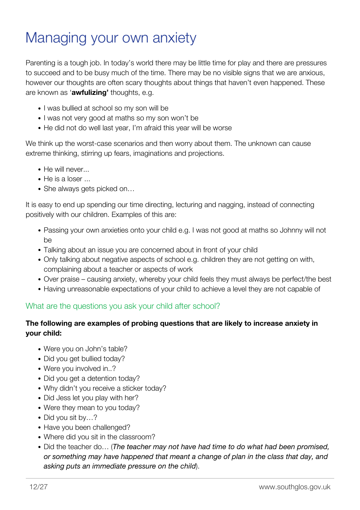### <span id="page-13-0"></span>Managing your own anxiety

Parenting is a tough job. In today's world there may be little time for play and there are pressures to succeed and to be busy much of the time. There may be no visible signs that we are anxious, however our thoughts are often scary thoughts about things that haven't even happened. These are known as '**awfulizing'** thoughts, e.g.

- I was bullied at school so my son will be
- I was not very good at maths so my son won't be
- He did not do well last year, I'm afraid this year will be worse

We think up the worst-case scenarios and then worry about them. The unknown can cause extreme thinking, stirring up fears, imaginations and projections.

- He will never...
- $\bullet$  He is a loser  $\ldots$
- She always gets picked on...

It is easy to end up spending our time directing, lecturing and nagging, instead of connecting positively with our children. Examples of this are:

- Passing your own anxieties onto your child e.g. I was not good at maths so Johnny will not be
- Talking about an issue you are concerned about in front of your child
- Only talking about negative aspects of school e.g. children they are not getting on with, complaining about a teacher or aspects of work
- Over praise causing anxiety, whereby your child feels they must always be perfect/the best
- Having unreasonable expectations of your child to achieve a level they are not capable of

#### What are the questions you ask your child after school?

#### **The following are examples of probing questions that are likely to increase anxiety in your child:**

- Were you on John's table?
- Did you get bullied today?
- Were you involved in..?
- Did you get a detention today?
- Why didn't you receive a sticker today?
- Did Jess let you play with her?
- Were they mean to you today?
- Did you sit by...?
- Have you been challenged?
- Where did you sit in the classroom?
- Did the teacher do… (*The teacher may not have had time to do what had been promised, or something may have happened that meant a change of plan in the class that day, and asking puts an immediate pressure on the child*).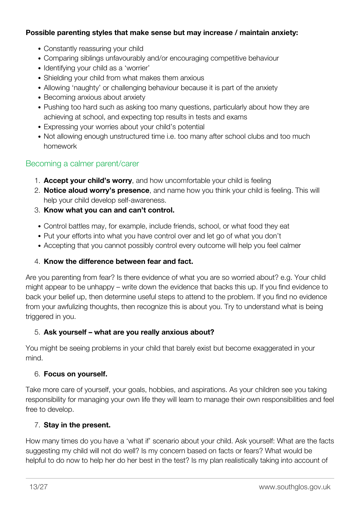#### **Possible parenting styles that make sense but may increase / maintain anxiety:**

- Constantly reassuring your child
- Comparing siblings unfavourably and/or encouraging competitive behaviour
- Identifying your child as a 'worrier'
- Shielding your child from what makes them anxious
- Allowing 'naughty' or challenging behaviour because it is part of the anxiety
- Becoming anxious about anxiety
- Pushing too hard such as asking too many questions, particularly about how they are achieving at school, and expecting top results in tests and exams
- Expressing your worries about your child's potential
- Not allowing enough unstructured time i.e. too many after school clubs and too much homework

#### Becoming a calmer parent/carer

- 1. **Accept your child's worry**, and how uncomfortable your child is feeling
- 2. **Notice aloud worry's presence**, and name how you think your child is feeling. This will help your child develop self-awareness.
- 3. **Know what you can and can't control.**
- Control battles may, for example, include friends, school, or what food they eat
- Put your efforts into what you have control over and let go of what you don't
- Accepting that you cannot possibly control every outcome will help you feel calmer

#### 4. **Know the difference between fear and fact.**

Are you parenting from fear? Is there evidence of what you are so worried about? e.g. Your child might appear to be unhappy – write down the evidence that backs this up. If you find evidence to back your belief up, then determine useful steps to attend to the problem. If you find no evidence from your awfulizing thoughts, then recognize this is about you. Try to understand what is being triggered in you.

#### 5. **Ask yourself – what are you really anxious about?**

You might be seeing problems in your child that barely exist but become exaggerated in your mind.

#### 6. **Focus on yourself.**

Take more care of yourself, your goals, hobbies, and aspirations. As your children see you taking responsibility for managing your own life they will learn to manage their own responsibilities and feel free to develop.

#### 7. **Stay in the present.**

How many times do you have a 'what if' scenario about your child. Ask yourself: What are the facts suggesting my child will not do well? Is my concern based on facts or fears? What would be helpful to do now to help her do her best in the test? Is my plan realistically taking into account of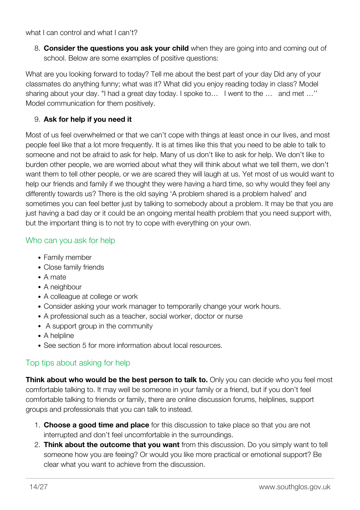what I can control and what I can't?

8. **Consider the questions you ask your child** when they are going into and coming out of school. Below are some examples of positive questions:

What are you looking forward to today? Tell me about the best part of your day Did any of your classmates do anything funny; what was it? What did you enjoy reading today in class? Model sharing about your day. "I had a great day today. I spoke to… I went to the … and met …'' Model communication for them positively.

#### 9. **Ask for help if you need it**

Most of us feel overwhelmed or that we can't cope with things at least once in our lives, and most people feel like that a lot more frequently. It is at times like this that you need to be able to talk to someone and not be afraid to ask for help. Many of us don't like to ask for help. We don't like to burden other people, we are worried about what they will think about what we tell them, we don't want them to tell other people, or we are scared they will laugh at us. Yet most of us would want to help our friends and family if we thought they were having a hard time, so why would they feel any differently towards us? There is the old saying 'A problem shared is a problem halved' and sometimes you can feel better just by talking to somebody about a problem. It may be that you are just having a bad day or it could be an ongoing mental health problem that you need support with, but the important thing is to not try to cope with everything on your own.

#### Who can you ask for help

- Family member
- Close family friends
- A mate
- A neighbour
- A colleague at college or work
- Consider asking your work manager to temporarily change your work hours.
- A professional such as a teacher, social worker, doctor or nurse
- A support group in the community
- A helpline
- See section 5 for more information about local resources.

#### Top tips about asking for help

**Think about who would be the best person to talk to.** Only you can decide who you feel most comfortable talking to. It may well be someone in your family or a friend, but if you don't feel comfortable talking to friends or family, there are online discussion forums, helplines, support groups and professionals that you can talk to instead.

- 1. **Choose a good time and place** for this discussion to take place so that you are not interrupted and don't feel uncomfortable in the surroundings.
- 2. **Think about the outcome that you want** from this discussion. Do you simply want to tell someone how you are feeing? Or would you like more practical or emotional support? Be clear what you want to achieve from the discussion.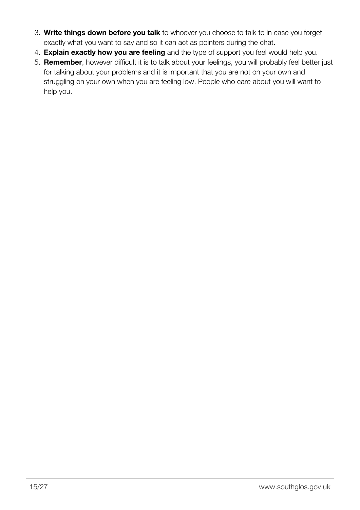- 3. **Write things down before you talk** to whoever you choose to talk to in case you forget exactly what you want to say and so it can act as pointers during the chat.
- 4. **Explain exactly how you are feeling** and the type of support you feel would help you.
- 5. **Remember**, however difficult it is to talk about your feelings, you will probably feel better just for talking about your problems and it is important that you are not on your own and struggling on your own when you are feeling low. People who care about you will want to help you.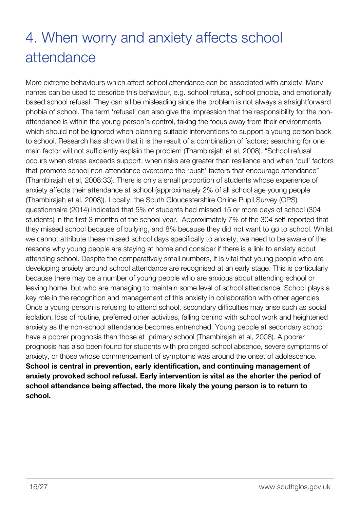# <span id="page-17-0"></span>4. When worry and anxiety affects school attendance

More extreme behaviours which affect school attendance can be associated with anxiety. Many names can be used to describe this behaviour, e.g. school refusal, school phobia, and emotionally based school refusal. They can all be misleading since the problem is not always a straightforward phobia of school. The term 'refusal' can also give the impression that the responsibility for the nonattendance is within the young person's control, taking the focus away from their environments which should not be ignored when planning suitable interventions to support a young person back to school. Research has shown that it is the result of a combination of factors; searching for one main factor will not sufficiently explain the problem (Thambirajah et al, 2008). "School refusal occurs when stress exceeds support, when risks are greater than resilience and when 'pull' factors that promote school non-attendance overcome the 'push' factors that encourage attendance" (Thambirajah et al, 2008:33). There is only a small proportion of students whose experience of anxiety affects their attendance at school (approximately 2% of all school age young people (Thambirajah et al, 2008)). Locally, the South Gloucestershire Online Pupil Survey (OPS) questionnaire (2014) indicated that 5% of students had missed 15 or more days of school (304 students) in the first 3 months of the school year. Approximately 7% of the 304 self-reported that they missed school because of bullying, and 8% because they did not want to go to school. Whilst we cannot attribute these missed school days specifically to anxiety, we need to be aware of the reasons why young people are staying at home and consider if there is a link to anxiety about attending school. Despite the comparatively small numbers, it is vital that young people who are developing anxiety around school attendance are recognised at an early stage. This is particularly because there may be a number of young people who are anxious about attending school or leaving home, but who are managing to maintain some level of school attendance. School plays a key role in the recognition and management of this anxiety in collaboration with other agencies. Once a young person is refusing to attend school, secondary difficulties may arise such as social isolation, loss of routine, preferred other activities, falling behind with school work and heightened anxiety as the non-school attendance becomes entrenched. Young people at secondary school have a poorer prognosis than those at primary school (Thambirajah et al, 2008). A poorer prognosis has also been found for students with prolonged school absence, severe symptoms of anxiety, or those whose commencement of symptoms was around the onset of adolescence. **School is central in prevention, early identification, and continuing management of anxiety provoked school refusal. Early intervention is vital as the shorter the period of school attendance being affected, the more likely the young person is to return to school.**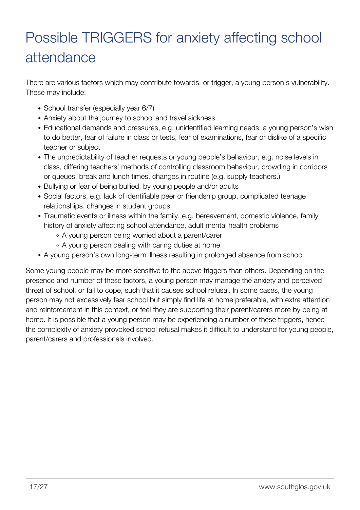# <span id="page-18-0"></span>Possible TRIGGERS for anxiety affecting school attendance

There are various factors which may contribute towards, or trigger, a young person's vulnerability. These may include:

- School transfer (especially year 6/7)
- Anxiety about the journey to school and travel sickness
- Educational demands and pressures, e.g. unidentified learning needs, a young person's wish to do better, fear of failure in class or tests, fear of examinations, fear or dislike of a specific teacher or subject
- The unpredictability of teacher requests or young people's behaviour, e.g. noise levels in class, differing teachers' methods of controlling classroom behaviour, crowding in corridors or queues, break and lunch times, changes in routine (e.g. supply teachers.)
- Bullying or fear of being bullied, by young people and/or adults
- Social factors, e.g. lack of identifiable peer or friendship group, complicated teenage relationships, changes in student groups
- Traumatic events or illness within the family, e.g. bereavement, domestic violence, family history of anxiety affecting school attendance, adult mental health problems
	- A young person being worried about a parent/carer
	- A young person dealing with caring duties at home
- A young person's own long-term illness resulting in prolonged absence from school

Some young people may be more sensitive to the above triggers than others. Depending on the presence and number of these factors, a young person may manage the anxiety and perceived threat of school, or fail to cope, such that it causes school refusal. In some cases, the young person may not excessively fear school but simply find life at home preferable, with extra attention and reinforcement in this context, or feel they are supporting their parent/carers more by being at home. It is possible that a young person may be experiencing a number of these triggers, hence the complexity of anxiety provoked school refusal makes it difficult to understand for young people, parent/carers and professionals involved.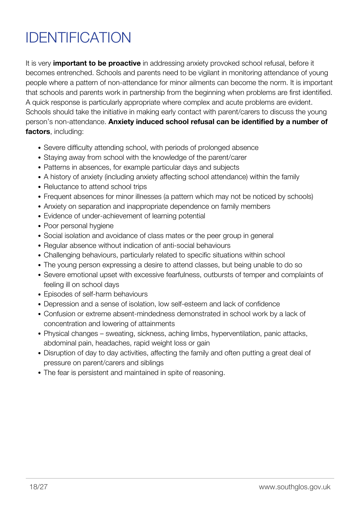# <span id="page-19-0"></span>IDENTIFICATION

It is very **important to be proactive** in addressing anxiety provoked school refusal, before it becomes entrenched. Schools and parents need to be vigilant in monitoring attendance of young people where a pattern of non-attendance for minor ailments can become the norm. It is important that schools and parents work in partnership from the beginning when problems are first identified. A quick response is particularly appropriate where complex and acute problems are evident. Schools should take the initiative in making early contact with parent/carers to discuss the young person's non-attendance. **Anxiety induced school refusal can be identified by a number of factors**, including:

- Severe difficulty attending school, with periods of prolonged absence
- Staying away from school with the knowledge of the parent/carer
- Patterns in absences, for example particular days and subjects
- A history of anxiety (including anxiety affecting school attendance) within the family
- Reluctance to attend school trips
- Frequent absences for minor illnesses (a pattern which may not be noticed by schools)
- Anxiety on separation and inappropriate dependence on family members
- Evidence of under-achievement of learning potential
- Poor personal hygiene
- Social isolation and avoidance of class mates or the peer group in general
- Regular absence without indication of anti-social behaviours
- Challenging behaviours, particularly related to specific situations within school
- The young person expressing a desire to attend classes, but being unable to do so
- Severe emotional upset with excessive fearfulness, outbursts of temper and complaints of feeling ill on school days
- Episodes of self-harm behaviours
- Depression and a sense of isolation, low self-esteem and lack of confidence
- Confusion or extreme absent-mindedness demonstrated in school work by a lack of concentration and lowering of attainments
- Physical changes sweating, sickness, aching limbs, hyperventilation, panic attacks, abdominal pain, headaches, rapid weight loss or gain
- Disruption of day to day activities, affecting the family and often putting a great deal of pressure on parent/carers and siblings
- The fear is persistent and maintained in spite of reasoning.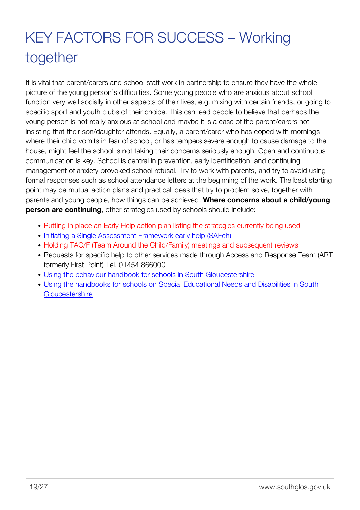# <span id="page-20-0"></span>KEY FACTORS FOR SUCCESS – Working together

It is vital that parent/carers and school staff work in partnership to ensure they have the whole picture of the young person's difficulties. Some young people who are anxious about school function very well socially in other aspects of their lives, e.g. mixing with certain friends, or going to specific sport and youth clubs of their choice. This can lead people to believe that perhaps the young person is not really anxious at school and maybe it is a case of the parent/carers not insisting that their son/daughter attends. Equally, a parent/carer who has coped with mornings where their child vomits in fear of school, or has tempers severe enough to cause damage to the house, might feel the school is not taking their concerns seriously enough. Open and continuous communication is key. School is central in prevention, early identification, and continuing management of anxiety provoked school refusal. Try to work with parents, and try to avoid using formal responses such as school attendance letters at the beginning of the work. The best starting point may be mutual action plans and practical ideas that try to problem solve, together with parents and young people, how things can be achieved. **Where concerns about a child/young person are continuing**, other strategies used by schools should include:

- Putting in place an Early Help action plan listing the strategies currently being used
- [Initiating a Single Assessment Framework early help \(SAFeh\)](http://sites.southglos.gov.uk/safeguarding/children/i-am-a-professional/single-assessment-for-early-help-safeh-toolkit/)
- Holding TAC/F (Team Around the Child/Family) meetings and subsequent reviews
- Requests for specific help to other services made through Access and Response Team (ART) formerly First Point) Tel. 01454 866000
- [Using the behaviour handbook for schools in South Gloucestershire](http://sites.southglos.gov.uk/safeguarding/wp-content/uploads/sites/221/2015/05/behaviour-handbook-18-may1.doc)
- [Using the handbooks for schools on Special Educational Needs and Disabilities in South](http://sites.southglos.gov.uk/safeguarding/wp-content/uploads/sites/221/2015/05/SEN-Handbook-Nov-15.docx) **[Gloucestershire](http://sites.southglos.gov.uk/safeguarding/wp-content/uploads/sites/221/2015/05/SEN-Handbook-Nov-15.docx)**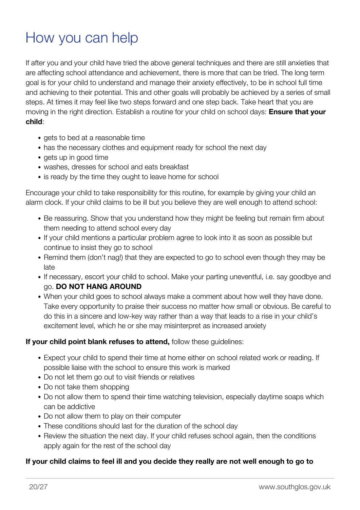### <span id="page-21-0"></span>How you can help

If after you and your child have tried the above general techniques and there are still anxieties that are affecting school attendance and achievement, there is more that can be tried. The long term goal is for your child to understand and manage their anxiety effectively, to be in school full time and achieving to their potential. This and other goals will probably be achieved by a series of small steps. At times it may feel like two steps forward and one step back. Take heart that you are moving in the right direction. Establish a routine for your child on school days: **Ensure that your child**:

- gets to bed at a reasonable time
- has the necessary clothes and equipment ready for school the next day
- gets up in good time
- washes, dresses for school and eats breakfast
- is ready by the time they ought to leave home for school

Encourage your child to take responsibility for this routine, for example by giving your child an alarm clock. If your child claims to be ill but you believe they are well enough to attend school:

- Be reassuring. Show that you understand how they might be feeling but remain firm about them needing to attend school every day
- If your child mentions a particular problem agree to look into it as soon as possible but continue to insist they go to school
- Remind them (don't nag!) that they are expected to go to school even though they may be late
- If necessary, escort your child to school. Make your parting uneventful, i.e. say goodbye and go. **DO NOT HANG AROUND**
- When your child goes to school always make a comment about how well they have done. Take every opportunity to praise their success no matter how small or obvious. Be careful to do this in a sincere and low-key way rather than a way that leads to a rise in your child's excitement level, which he or she may misinterpret as increased anxiety

#### **If your child point blank refuses to attend,** follow these guidelines:

- Expect your child to spend their time at home either on school related work or reading. If possible liaise with the school to ensure this work is marked
- Do not let them go out to visit friends or relatives
- Do not take them shopping
- Do not allow them to spend their time watching television, especially daytime soaps which can be addictive
- Do not allow them to play on their computer
- These conditions should last for the duration of the school day
- Review the situation the next day. If your child refuses school again, then the conditions apply again for the rest of the school day

#### **If your child claims to feel ill and you decide they really are not well enough to go to**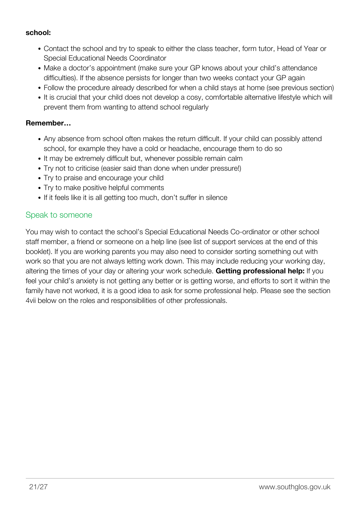#### **school:**

- Contact the school and try to speak to either the class teacher, form tutor, Head of Year or Special Educational Needs Coordinator
- Make a doctor's appointment (make sure your GP knows about your child's attendance difficulties). If the absence persists for longer than two weeks contact your GP again
- Follow the procedure already described for when a child stays at home (see previous section)
- It is crucial that your child does not develop a cosy, comfortable alternative lifestyle which will prevent them from wanting to attend school regularly

#### **Remember…**

- Any absence from school often makes the return difficult. If your child can possibly attend school, for example they have a cold or headache, encourage them to do so
- It may be extremely difficult but, whenever possible remain calm
- Try not to criticise (easier said than done when under pressure!)
- Try to praise and encourage your child
- Try to make positive helpful comments
- If it feels like it is all getting too much, don't suffer in silence

#### Speak to someone

You may wish to contact the school's Special Educational Needs Co-ordinator or other school staff member, a friend or someone on a help line (see list of support services at the end of this booklet). If you are working parents you may also need to consider sorting something out with work so that you are not always letting work down. This may include reducing your working day, altering the times of your day or altering your work schedule. **Getting professional help:** If you feel your child's anxiety is not getting any better or is getting worse, and efforts to sort it within the family have not worked, it is a good idea to ask for some professional help. Please see the section 4vii below on the roles and responsibilities of other professionals.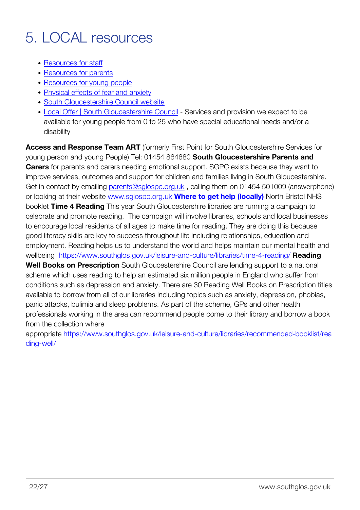### <span id="page-23-0"></span>5. LOCAL resources

- [Resources for staff](http://www.southglos.gov.uk/classroom-resources/)
- [Resources for parents](http://www.southglos.gov.uk/absence-from-school-information-for-parents-and-carers/)
- [Resources for young people](http://www.southglos.gov.uk/absence-from-school-information-for-young-people/)
- [Physical effects of fear and anxiety](http://www.southglos.gov.uk/handout-on-physical-effects-of-fear-and-anxiety/)
- [South Gloucestershire Council website](http://www.southglos.gov.uk/)
- [Local Offer | South Gloucestershire Council](http://www.southglos.gov.uk/health-and-social-care/care-and-support-children-families/local-offer/)  Services and provision we expect to be available for young people from 0 to 25 who have special educational needs and/or a disability

**Access and Response Team ART** (formerly First Point for South Gloucestershire Services for young person and young People) Tel: 01454 864680 **South Gloucestershire Parents and Carers** for parents and carers needing emotional support. SGPC exists because they want to improve services, outcomes and support for children and families living in South Gloucestershire. Get in contact by emailing [parents@sglospc.org.uk](mailto:parents@sglospc.org.uk), calling them on 01454 501009 (answerphone) or looking at their website [www.sglospc.org.uk](http://www.sglospc.org.uk/) **[Where to get help \(locally\)](http://sites.southglos.gov.uk/safeguarding/wp-content/uploads/sites/221/2015/08/Where-to-get-help_v2.pdf)** North Bristol NHS booklet **Time 4 Reading** This year South Gloucestershire libraries are running a campaign to celebrate and promote reading. The campaign will involve libraries, schools and local businesses to encourage local residents of all ages to make time for reading. They are doing this because good literacy skills are key to success throughout life including relationships, education and employment. Reading helps us to understand the world and helps maintain our mental health and wellbeing <https://www.southglos.gov.uk/leisure-and-culture/libraries/time-4-reading/> **Reading Well Books on Prescription** South Gloucestershire Council are lending support to a national scheme which uses reading to help an estimated six million people in England who suffer from conditions such as depression and anxiety. There are 30 Reading Well Books on Prescription titles available to borrow from all of our libraries including topics such as anxiety, depression, phobias, panic attacks, bulimia and sleep problems. As part of the scheme, GPs and other health professionals working in the area can recommend people come to their library and borrow a book from the collection where

appropriate [https://www.southglos.gov.uk/leisure-and-culture/libraries/recommended-booklist/rea](https://www.southglos.gov.uk/leisure-and-culture/libraries/recommended-booklist/reading-well/) [ding-well/](https://www.southglos.gov.uk/leisure-and-culture/libraries/recommended-booklist/reading-well/)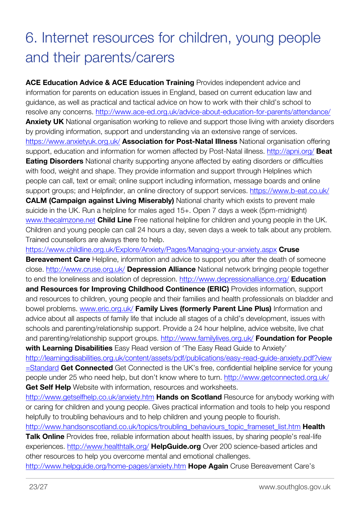# <span id="page-24-0"></span>6. Internet resources for children, young people and their parents/carers

**ACE Education Advice & ACE Education Training** Provides independent advice and information for parents on education issues in England, based on current education law and guidance, as well as practical and tactical advice on how to work with their child's school to resolve any concerns.<http://www.ace-ed.org.uk/advice-about-education-for-parents/attendance/> **Anxiety UK** National organisation working to relieve and support those living with anxiety disorders by providing information, support and understanding via an extensive range of services. <https://www.anxietyuk.org.uk/> **Association for Post-Natal Illness** National organisation offering support, education and information for women affected by Post-Natal illness. <http://apni.org/> **Beat Eating Disorders** National charity supporting anyone affected by eating disorders or difficulties with food, weight and shape. They provide information and support through Helplines which people can call, text or email; online support including information, message boards and online support groups; and Helpfinder, an online directory of support services.<https://www.b-eat.co.uk/> **CALM (Campaign against Living Miserably)** National charity which exists to prevent male suicide in the UK. Run a helpline for males aged 15+. Open 7 days a week (5pm-midnight) [www.thecalmzone.net](http://www.thecalmzone.net/) **Child Line** Free national helpline for children and young people in the UK. Children and young people can call 24 hours a day, seven days a week to talk about any problem. Trained counsellors are always there to help.

<https://www.childline.org.uk/Explore/Anxiety/Pages/Managing-your-anxiety.aspx> **Cruse**

**Bereavement Care** Helpline, information and advice to support you after the death of someone close.<http://www.cruse.org.uk/> **Depression Alliance** National network bringing people together to end the loneliness and isolation of depression.<http://www.depressionalliance.org/> **Education and Resources for Improving Childhood Continence (ERIC)** Provides information, support and resources to children, young people and their families and health professionals on bladder and bowel problems. [www.eric.org.uk/](http://www.eric.org.uk/) **Family Lives (formerly Parent Line Plus)** Information and advice about all aspects of family life that include all stages of a child's development, issues with schools and parenting/relationship support. Provide a 24 hour helpline, advice website, live chat and parenting/relationship support groups.<http://www.familylives.org.uk/> **Foundation for People with Learning Disabilities** Easy Read version of 'The Easy Read Guide to Anxiety'

[http://learningdisabilities.org.uk/content/assets/pdf/publications/easy-read-guide-anxiety.pdf?view](http://learningdisabilities.org.uk/content/assets/pdf/publications/easy-read-guide-anxiety.pdf?view=Standard) [=Standard](http://learningdisabilities.org.uk/content/assets/pdf/publications/easy-read-guide-anxiety.pdf?view=Standard) **Get Connected** Get Connected is the UK's free, confidential helpline service for young people under 25 who need help, but don't know where to turn. <http://www.getconnected.org.uk/> **Get Self Help** Website with information, resources and worksheets.

<http://www.getselfhelp.co.uk/anxiety.htm> **Hands on Scotland** Resource for anybody working with or caring for children and young people. Gives practical information and tools to help you respond helpfully to troubling behaviours and to help children and young people to flourish.

[http://www.handsonscotland.co.uk/topics/troubling\\_behaviours\\_topic\\_frameset\\_list.htm](http://www.handsonscotland.co.uk/topics/troubling_behaviours_topic_frameset_list.htm) **Health**

**Talk Online** Provides free, reliable information about health issues, by sharing people's real-life experiences.<http://www.healthtalk.org/> **HelpGuide.org** Over 200 science-based articles and other resources to help you overcome mental and emotional challenges.

<http://www.helpguide.org/home-pages/anxiety.htm> **Hope Again** Cruse Bereavement Care's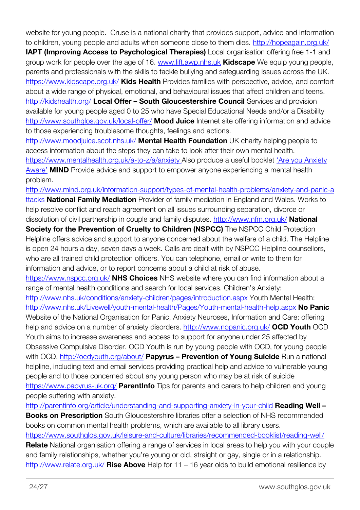website for young people. Cruse is a national charity that provides support, advice and information to children, young people and adults when someone close to them dies.<http://hopeagain.org.uk/>

**IAPT (Improving Access to Psychological Therapies)** Local organisation offering free 1-1 and group work for people over the age of 16. [www.lift.awp.nhs.uk](http://www.lift.awp.nhs.uk/) **Kidscape** We equip young people, parents and professionals with the skills to tackle bullying and safeguarding issues across the UK. <https://www.kidscape.org.uk/> **Kids Health** Provides families with perspective, advice, and comfort about a wide range of physical, emotional, and behavioural issues that affect children and teens. <http://kidshealth.org/> **Local Offer – South Gloucestershire Council** Services and provision available for young people aged 0 to 25 who have Special Educational Needs and/or a Disability <http://www.southglos.gov.uk/local-offer/> **Mood Juice** Internet site offering information and advice to those experiencing troublesome thoughts, feelings and actions.

<http://www.moodjuice.scot.nhs.uk/> **Mental Health Foundation** UK charity helping people to access information about the steps they can take to look after their own mental health. [https://www.mentalhealth.org.uk/a-to-z/a/anxiety A](https://www.mentalhealth.org.uk/a-to-z/a/anxiety)lso produce a useful booklet ['Are you Anxiety](https://www.mentalhealth.org.uk/publications/are-you-anxiety-aware-booklet/) [Aware'](https://www.mentalhealth.org.uk/publications/are-you-anxiety-aware-booklet/) **MIND** Provide advice and support to empower anyone experiencing a mental health problem.

[http://www.mind.org.uk/information-support/types-of-mental-health-problems/anxiety-and-panic-a](http://www.mind.org.uk/information-support/types-of-mental-health-problems/anxiety-and-panic-attacks) [ttacks](http://www.mind.org.uk/information-support/types-of-mental-health-problems/anxiety-and-panic-attacks) **National Family Mediation** Provider of family mediation in England and Wales. Works to help resolve conflict and reach agreement on all issues surrounding separation, divorce or dissolution of civil partnership in couple and family disputes.<http://www.nfm.org.uk/> **National Society for the Prevention of Cruelty to Children (NSPCC)** The NSPCC Child Protection Helpline offers advice and support to anyone concerned about the welfare of a child. The Helpline is open 24 hours a day, seven days a week. Calls are dealt with by NSPCC Helpline counsellors, who are all trained child protection officers. You can telephone, email or write to them for information and advice, or to report concerns about a child at risk of abuse. <https://www.nspcc.org.uk/> **NHS Choices** NHS website where you can find information about a range of mental health conditions and search for local services. Children's Anxiety: [http://www.nhs.uk/conditions/anxiety-children/pages/introduction.aspx Y](http://www.nhs.uk/conditions/anxiety-children/pages/introduction.aspx)outh Mental Health: <http://www.nhs.uk/Livewell/youth-mental-health/Pages/Youth-mental-health-help.aspx> **No Panic** Website of the National Organisation for Panic, Anxiety Neuroses, Information and Care; offering help and advice on a number of anxiety disorders.<http://www.nopanic.org.uk/> **OCD Youth** OCD Youth aims to increase awareness and access to support for anyone under 25 affected by Obsessive Compulsive Disorder. OCD Youth is run by young people with OCD, for young people with OCD.<http://ocdyouth.org/about/> **Papyrus – Prevention of Young Suicide** Run a national helpline, including text and email services providing practical help and advice to vulnerable young people and to those concerned about any young person who may be at risk of suicide <https://www.papyrus-uk.org/> **ParentInfo** Tips for parents and carers to help children and young people suffering with anxiety.

<http://parentinfo.org/article/understanding-and-supporting-anxiety-in-your-child> **Reading Well – Books on Prescription** South Gloucestershire libraries offer a selection of NHS recommended books on common mental health problems, which are available to all library users. <https://www.southglos.gov.uk/leisure-and-culture/libraries/recommended-booklist/reading-well/> **Relate** National organisation offering a range of services in local areas to help you with your couple and family relationships, whether you're young or old, straight or gay, single or in a relationship. <http://www.relate.org.uk/> **Rise Above** Help for 11 – 16 year olds to build emotional resilience by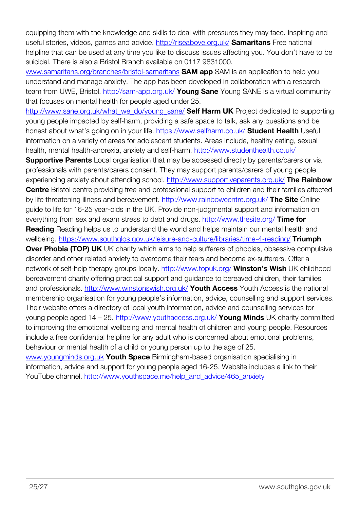equipping them with the knowledge and skills to deal with pressures they may face. Inspiring and useful stories, videos, games and advice. <http://riseabove.org.uk/> **Samaritans** Free national helpline that can be used at any time you like to discuss issues affecting you. You don't have to be suicidal. There is also a Bristol Branch available on 0117 9831000.

[www.samaritans.org/branches/bristol-samaritans](http://www.samaritans.org/branches/bristol-samaritans/) **SAM app** SAM is an application to help you understand and manage anxiety. The app has been developed in collaboration with a research team from UWE, Bristol. <http://sam-app.org.uk/> **Young Sane** Young SANE is a virtual community that focuses on mental health for people aged under 25.

[http://www.sane.org.uk/what\\_we\\_do/young\\_sane/](http://www.sane.org.uk/what_we_do/young_sane/) **Self Harm UK** Project dedicated to supporting young people impacted by self-harm, providing a safe space to talk, ask any questions and be honest about what's going on in your life.<https://www.selfharm.co.uk/> **Student Health** Useful information on a variety of areas for adolescent students. Areas include, healthy eating, sexual health, mental health-anorexia, anxiety and self-harm.<http://www.studenthealth.co.uk/>

**Supportive Parents** Local organisation that may be accessed directly by parents/carers or via professionals with parents/carers consent. They may support parents/carers of young people experiencing anxiety about attending school. <http://www.supportiveparents.org.uk/> **The Rainbow Centre** Bristol centre providing free and professional support to children and their families affected by life threatening illness and bereavement. <http://www.rainbowcentre.org.uk/> **The Site** Online guide to life for 16-25 year-olds in the UK. Provide non-judgmental support and information on everything from sex and exam stress to debt and drugs. <http://www.thesite.org/> **Time for**

**Reading** Reading helps us to understand the world and helps maintain our mental health and wellbeing.<https://www.southglos.gov.uk/leisure-and-culture/libraries/time-4-reading/> **Triumph**

**Over Phobia (TOP) UK** UK charity which aims to help sufferers of phobias, obsessive compulsive disorder and other related anxiety to overcome their fears and become ex-sufferers. Offer a network of self-help therapy groups locally.<http://www.topuk.org/> **Winston's Wish** UK childhood bereavement charity offering practical support and guidance to bereaved children, their families and professionals. <http://www.winstonswish.org.uk/> **Youth Access** Youth Access is the national membership organisation for young people's information, advice, counselling and support services. Their website offers a directory of local youth information, advice and counselling services for young people aged 14 – 25.<http://www.youthaccess.org.uk/> **Young Minds** UK charity committed to improving the emotional wellbeing and mental health of children and young people. Resources include a free confidential helpline for any adult who is concerned about emotional problems, behaviour or mental health of a child or young person up to the age of 25.

[www.youngminds.org.uk](http://www.youngminds.org.uk/) **Youth Space** Birmingham-based organisation specialising in information, advice and support for young people aged 16-25. Website includes a link to their YouTube channel. [http://www.youthspace.me/help\\_and\\_advice/465\\_anxiety](http://www.youthspace.me/help_and_advice/465_anxiety)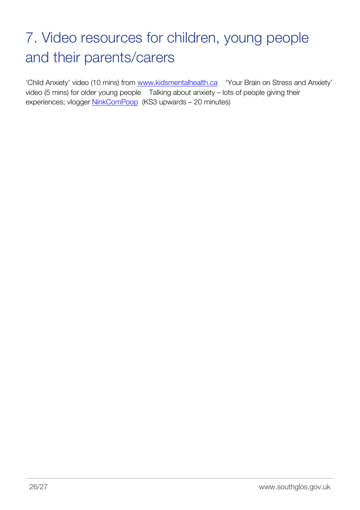# <span id="page-27-0"></span>7. Video resources for children, young people and their parents/carers

'Child Anxiety' video (10 mins) from [www.kidsmentalhealth.ca](http://www.kidsmentalhealth.ca/) 'Your Brain on Stress and Anxiety' video (5 mins) for older young people Talking about anxiety – lots of people giving their experiences; vlogger [NinkComPoop](https://www.youtube.com/channel/UC0CFhRHhxjlQB8uPykDaQQw) (KS3 upwards – 20 minutes)